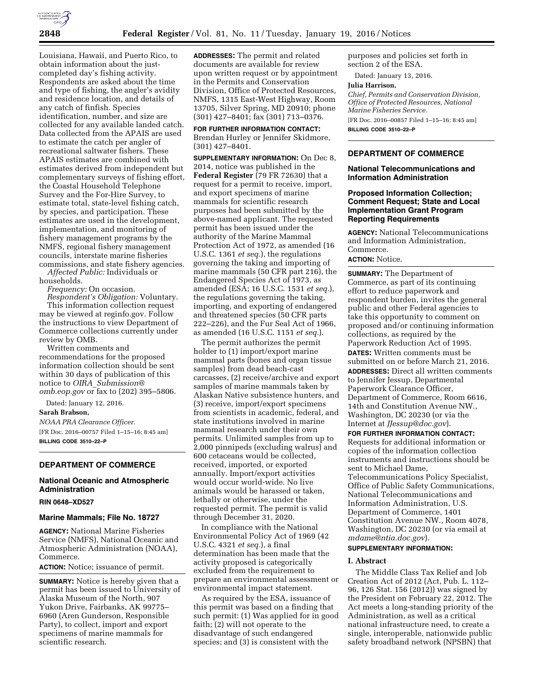

Louisiana, Hawaii, and Puerto Rico, to obtain information about the justcompleted day's fishing activity. Respondents are asked about the time and type of fishing, the angler's avidity and residence location, and details of any catch of finfish. Species identification, number, and size are collected for any available landed catch. Data collected from the APAIS are used to estimate the catch per angler of recreational saltwater fishers. These APAIS estimates are combined with estimates derived from independent but complementary surveys of fishing effort, the Coastal Household Telephone Survey and the For-Hire Survey, to estimate total, state-level fishing catch, by species, and participation. These estimates are used in the development, implementation, and monitoring of fishery management programs by the NMFS, regional fishery management councils, interstate marine fisheries commissions, and state fishery agencies.

*Affected Public:* Individuals or households.

*Frequency:* On occasion.

*Respondent's Obligation:* Voluntary. This information collection request

may be viewed at reginfo.gov. Follow the instructions to view Department of Commerce collections currently under review by OMB.

Written comments and recommendations for the proposed information collection should be sent within 30 days of publication of this notice to *OIRA*\_*[Submission@](mailto:OIRA_Submission@omb.eop.gov) [omb.eop.gov](mailto:OIRA_Submission@omb.eop.gov)* or fax to (202) 395–5806.

Dated: January 12, 2016. **Sarah Brabson,**  *NOAA PRA Clearance Officer.*  [FR Doc. 2016–00757 Filed 1–15–16; 8:45 am] **BILLING CODE 3510–22–P** 

## **DEPARTMENT OF COMMERCE**

# **National Oceanic and Atmospheric Administration**

## **RIN 0648–XD527**

## **Marine Mammals; File No. 18727**

**AGENCY:** National Marine Fisheries Service (NMFS), National Oceanic and Atmospheric Administration (NOAA), Commerce.

**ACTION:** Notice; issuance of permit.

**SUMMARY:** Notice is hereby given that a permit has been issued to University of Alaska Museum of the North, 907 Yukon Drive, Fairbanks, AK 99775– 6960 (Aren Gunderson, Responsible Party), to collect, import and export specimens of marine mammals for scientific research.

**ADDRESSES:** The permit and related documents are available for review upon written request or by appointment in the Permits and Conservation Division, Office of Protected Resources, NMFS, 1315 East-West Highway, Room 13705, Silver Spring, MD 20910; phone (301) 427–8401; fax (301) 713–0376.

**FOR FURTHER INFORMATION CONTACT:**  Brendan Hurley or Jennifer Skidmore, (301) 427–8401.

**SUPPLEMENTARY INFORMATION:** On Dec 8, 2014, notice was published in the **Federal Register** (79 FR 72630) that a request for a permit to receive, import, and export specimens of marine mammals for scientific research purposes had been submitted by the above-named applicant. The requested permit has been issued under the authority of the Marine Mammal Protection Act of 1972, as amended (16 U.S.C. 1361 *et seq.*), the regulations governing the taking and importing of marine mammals (50 CFR part 216), the Endangered Species Act of 1973, as amended (ESA; 16 U.S.C. 1531 *et seq.*), the regulations governing the taking, importing, and exporting of endangered and threatened species (50 CFR parts 222–226), and the Fur Seal Act of 1966, as amended (16 U.S.C. 1151 *et seq.*).

The permit authorizes the permit holder to (1) import/export marine mammal parts (bones and organ tissue samples) from dead beach-cast carcasses, (2) receive/archive and export samples of marine mammals taken by Alaskan Native subsistence hunters, and (3) receive, import/export specimens from scientists in academic, federal, and state institutions involved in marine mammal research under their own permits. Unlimited samples from up to 2,000 pinnipeds (excluding walrus) and 600 cetaceans would be collected, received, imported, or exported annually. Import/export activities would occur world-wide. No live animals would be harassed or taken, lethally or otherwise, under the requested permit. The permit is valid through December 31, 2020.

In compliance with the National Environmental Policy Act of 1969 (42 U.S.C. 4321 *et seq.*), a final determination has been made that the activity proposed is categorically excluded from the requirement to prepare an environmental assessment or environmental impact statement.

As required by the ESA, issuance of this permit was based on a finding that such permit: (1) Was applied for in good faith; (2) will not operate to the disadvantage of such endangered species; and (3) is consistent with the

purposes and policies set forth in section 2 of the ESA.

Dated: January 13, 2016.

## **Julia Harrison,**

*Chief, Permits and Conservation Division, Office of Protected Resources, National Marine Fisheries Service.* 

[FR Doc. 2016–00857 Filed 1–15–16; 8:45 am] **BILLING CODE 3510–22–P** 

## **DEPARTMENT OF COMMERCE**

## **National Telecommunications and Information Administration**

## **Proposed Information Collection; Comment Request; State and Local Implementation Grant Program Reporting Requirements**

**AGENCY:** National Telecommunications and Information Administration, Commerce.

## **ACTION:** Notice.

**SUMMARY:** The Department of Commerce, as part of its continuing effort to reduce paperwork and respondent burden, invites the general public and other Federal agencies to take this opportunity to comment on proposed and/or continuing information collections, as required by the Paperwork Reduction Act of 1995.

**DATES:** Written comments must be submitted on or before March 21, 2016. **ADDRESSES:** Direct all written comments to Jennifer Jessup, Departmental Paperwork Clearance Officer, Department of Commerce, Room 6616, 14th and Constitution Avenue NW., Washington, DC 20230 (or via the Internet at *[JJessup@doc.gov](mailto:JJessup@doc.gov)*).

#### **FOR FURTHER INFORMATION CONTACT:**

Requests for additional information or copies of the information collection instruments and instructions should be sent to Michael Dame, Telecommunications Policy Specialist, Office of Public Safety Communications, National Telecommunications and Information Administration, U.S. Department of Commerce, 1401 Constitution Avenue NW., Room 4078, Washington, DC 20230 (or via email at *[mdame@ntia.doc.gov](mailto:mdame@ntia.doc.gov)*).

#### **SUPPLEMENTARY INFORMATION:**

## **I. Abstract**

The Middle Class Tax Relief and Job Creation Act of 2012 (Act, Pub. L. 112– 96, 126 Stat. 156 (2012)) was signed by the President on February 22, 2012. The Act meets a long-standing priority of the Administration, as well as a critical national infrastructure need, to create a single, interoperable, nationwide public safety broadband network (NPSBN) that